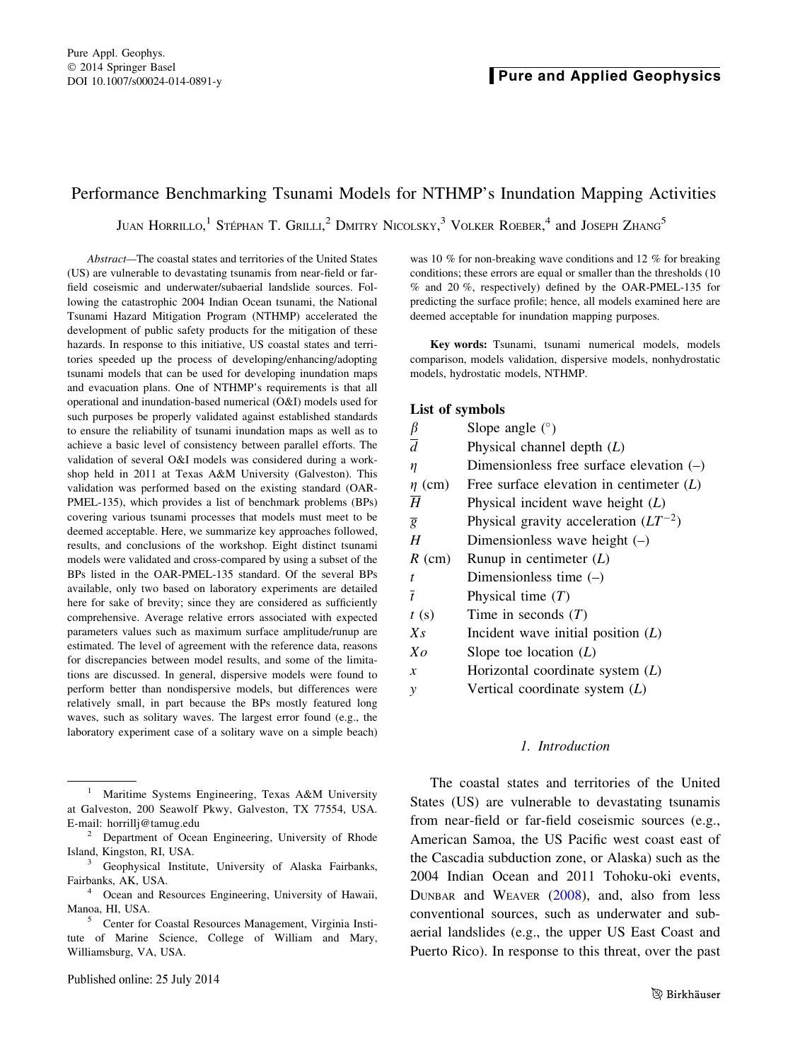# Performance Benchmarking Tsunami Models for NTHMP's Inundation Mapping Activities

JUAN HORRILLO,  $^1$  Stéphan T. Grilli,  $^2$  Dmitry Nicolsky,  $^3$  Volker Roeber,  $^4$  and Joseph Zhang  $^5$ 

Abstract—The coastal states and territories of the United States (US) are vulnerable to devastating tsunamis from near-field or farfield coseismic and underwater/subaerial landslide sources. Following the catastrophic 2004 Indian Ocean tsunami, the National Tsunami Hazard Mitigation Program (NTHMP) accelerated the development of public safety products for the mitigation of these hazards. In response to this initiative, US coastal states and territories speeded up the process of developing/enhancing/adopting tsunami models that can be used for developing inundation maps and evacuation plans. One of NTHMP's requirements is that all operational and inundation-based numerical (O&I) models used for such purposes be properly validated against established standards to ensure the reliability of tsunami inundation maps as well as to achieve a basic level of consistency between parallel efforts. The validation of several O&I models was considered during a workshop held in 2011 at Texas A&M University (Galveston). This validation was performed based on the existing standard (OAR-PMEL-135), which provides a list of benchmark problems (BPs) covering various tsunami processes that models must meet to be deemed acceptable. Here, we summarize key approaches followed, results, and conclusions of the workshop. Eight distinct tsunami models were validated and cross-compared by using a subset of the BPs listed in the OAR-PMEL-135 standard. Of the several BPs available, only two based on laboratory experiments are detailed here for sake of brevity; since they are considered as sufficiently comprehensive. Average relative errors associated with expected parameters values such as maximum surface amplitude/runup are estimated. The level of agreement with the reference data, reasons for discrepancies between model results, and some of the limitations are discussed. In general, dispersive models were found to perform better than nondispersive models, but differences were relatively small, in part because the BPs mostly featured long waves, such as solitary waves. The largest error found (e.g., the laboratory experiment case of a solitary wave on a simple beach) was 10 % for non-breaking wave conditions and 12 % for breaking conditions; these errors are equal or smaller than the thresholds (10 % and 20 %, respectively) defined by the OAR-PMEL-135 for predicting the surface profile; hence, all models examined here are deemed acceptable for inundation mapping purposes.

Key words: Tsunami, tsunami numerical models, models comparison, models validation, dispersive models, nonhydrostatic models, hydrostatic models, NTHMP.

### List of symbols

|                  | Slope angle $(°)$                          |
|------------------|--------------------------------------------|
|                  | Physical channel depth $(L)$               |
| η                | Dimensionless free surface elevation $(-)$ |
| $\eta$ (cm)      | Free surface elevation in centimeter $(L)$ |
| $\overline{H}$   | Physical incident wave height $(L)$        |
| $\overline{g}$   | Physical gravity acceleration $(LT^{-2})$  |
| H                | Dimensionless wave height $(-)$            |
| $R$ (cm)         | Runup in centimeter $(L)$                  |
| t                | Dimensionless time $(-)$                   |
| $\overline{t}$   | Physical time $(T)$                        |
| t(s)             | Time in seconds $(T)$                      |
| $X_{S}$          | Incident wave initial position $(L)$       |
| $X_{O}$          | Slope toe location $(L)$                   |
| $\boldsymbol{x}$ | Horizontal coordinate system $(L)$         |
| $\mathcal{V}$    | Vertical coordinate system $(L)$           |
|                  |                                            |

### 1. Introduction

The coastal states and territories of the United States (US) are vulnerable to devastating tsunamis from near-field or far-field coseismic sources (e.g., American Samoa, the US Pacific west coast east of the Cascadia subduction zone, or Alaska) such as the 2004 Indian Ocean and 2011 Tohoku-oki events, DUNBAR and WEAVER [\(2008](#page-14-0)), and, also from less conventional sources, such as underwater and subaerial landslides (e.g., the upper US East Coast and Puerto Rico). In response to this threat, over the past

<sup>1</sup> Maritime Systems Engineering, Texas A&M University at Galveston, 200 Seawolf Pkwy, Galveston, TX 77554, USA. E-mail: horrillj@tamug.edu

<sup>&</sup>lt;sup>2</sup> Department of Ocean Engineering, University of Rhode Island, Kingston, RI, USA. <sup>3</sup> Geophysical Institute, University of Alaska Fairbanks,

Fairbanks, AK, USA.

<sup>4</sup> Ocean and Resources Engineering, University of Hawaii, Manoa, HI, USA. <sup>5</sup> Center for Coastal Resources Management, Virginia Insti-

tute of Marine Science, College of William and Mary, Williamsburg, VA, USA.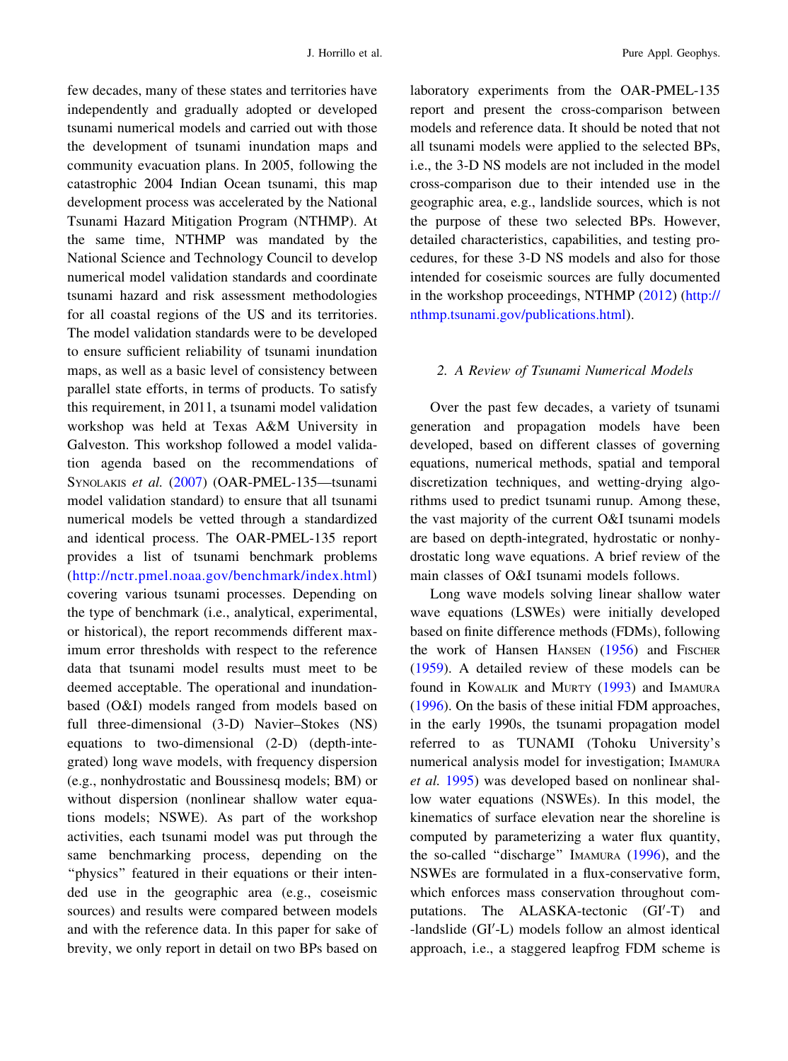few decades, many of these states and territories have independently and gradually adopted or developed tsunami numerical models and carried out with those the development of tsunami inundation maps and community evacuation plans. In 2005, following the catastrophic 2004 Indian Ocean tsunami, this map development process was accelerated by the National Tsunami Hazard Mitigation Program (NTHMP). At the same time, NTHMP was mandated by the National Science and Technology Council to develop numerical model validation standards and coordinate tsunami hazard and risk assessment methodologies for all coastal regions of the US and its territories. The model validation standards were to be developed to ensure sufficient reliability of tsunami inundation maps, as well as a basic level of consistency between parallel state efforts, in terms of products. To satisfy this requirement, in 2011, a tsunami model validation workshop was held at Texas A&M University in Galveston. This workshop followed a model validation agenda based on the recommendations of SYNOLAKIS et al. ([2007\)](#page-15-0) (OAR-PMEL-135—tsunami model validation standard) to ensure that all tsunami numerical models be vetted through a standardized and identical process. The OAR-PMEL-135 report provides a list of tsunami benchmark problems [\(http://nctr.pmel.noaa.gov/benchmark/index.html](http://nctr.pmel.noaa.gov/benchmark/index.html)) covering various tsunami processes. Depending on the type of benchmark (i.e., analytical, experimental, or historical), the report recommends different maximum error thresholds with respect to the reference data that tsunami model results must meet to be deemed acceptable. The operational and inundationbased (O&I) models ranged from models based on full three-dimensional (3-D) Navier–Stokes (NS) equations to two-dimensional (2-D) (depth-integrated) long wave models, with frequency dispersion (e.g., nonhydrostatic and Boussinesq models; BM) or without dispersion (nonlinear shallow water equations models; NSWE). As part of the workshop activities, each tsunami model was put through the same benchmarking process, depending on the "physics" featured in their equations or their intended use in the geographic area (e.g., coseismic sources) and results were compared between models and with the reference data. In this paper for sake of brevity, we only report in detail on two BPs based on laboratory experiments from the OAR-PMEL-135 report and present the cross-comparison between models and reference data. It should be noted that not all tsunami models were applied to the selected BPs, i.e., the 3-D NS models are not included in the model cross-comparison due to their intended use in the geographic area, e.g., landslide sources, which is not the purpose of these two selected BPs. However, detailed characteristics, capabilities, and testing procedures, for these 3-D NS models and also for those intended for coseismic sources are fully documented in the workshop proceedings, NTHMP ([2012\)](#page-15-0) [\(http://](http://nthmp.tsunami.gov/publications.html) [nthmp.tsunami.gov/publications.html\)](http://nthmp.tsunami.gov/publications.html).

### 2. A Review of Tsunami Numerical Models

Over the past few decades, a variety of tsunami generation and propagation models have been developed, based on different classes of governing equations, numerical methods, spatial and temporal discretization techniques, and wetting-drying algorithms used to predict tsunami runup. Among these, the vast majority of the current O&I tsunami models are based on depth-integrated, hydrostatic or nonhydrostatic long wave equations. A brief review of the main classes of O&I tsunami models follows.

Long wave models solving linear shallow water wave equations (LSWEs) were initially developed based on finite difference methods (FDMs), following the work of Hansen HANSEN [\(1956](#page-14-0)) and FISCHER [\(1959](#page-14-0)). A detailed review of these models can be found in KOWALIK and MURTY ([1993\)](#page-15-0) and IMAMURA [\(1996](#page-14-0)). On the basis of these initial FDM approaches, in the early 1990s, the tsunami propagation model referred to as TUNAMI (Tohoku University's numerical analysis model for investigation; IMAMURA et al. [1995](#page-14-0)) was developed based on nonlinear shallow water equations (NSWEs). In this model, the kinematics of surface elevation near the shoreline is computed by parameterizing a water flux quantity, the so-called ''discharge'' IMAMURA [\(1996\)](#page-14-0), and the NSWEs are formulated in a flux-conservative form, which enforces mass conservation throughout computations. The ALASKA-tectonic (GI'-T) and -landslide (GI'-L) models follow an almost identical approach, i.e., a staggered leapfrog FDM scheme is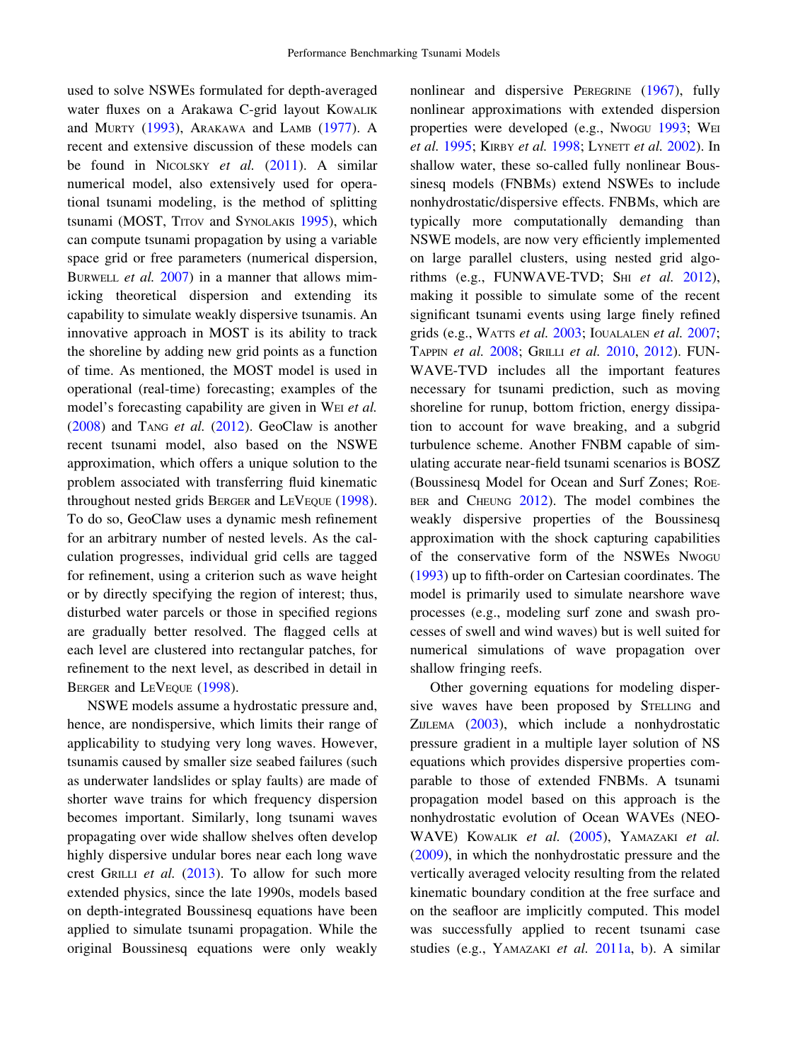used to solve NSWEs formulated for depth-averaged water fluxes on a Arakawa C-grid layout KOWALIK and MURTY ([1993\)](#page-15-0), ARAKAWA and LAMB ([1977\)](#page-14-0). A recent and extensive discussion of these models can be found in NICOLSKY et al.  $(2011)$  $(2011)$ . A similar numerical model, also extensively used for operational tsunami modeling, is the method of splitting tsunami (MOST, Trrov and SynoLAKIS [1995](#page-15-0)), which can compute tsunami propagation by using a variable space grid or free parameters (numerical dispersion, BURWELL *et al.* [2007](#page-14-0)) in a manner that allows mimicking theoretical dispersion and extending its capability to simulate weakly dispersive tsunamis. An innovative approach in MOST is its ability to track the shoreline by adding new grid points as a function of time. As mentioned, the MOST model is used in operational (real-time) forecasting; examples of the model's forecasting capability are given in WEI et al.  $(2008)$  $(2008)$  and TANG *et al.*  $(2012)$  $(2012)$ . GeoClaw is another recent tsunami model, also based on the NSWE approximation, which offers a unique solution to the problem associated with transferring fluid kinematic throughout nested grids BERGER and LEVEQUE [\(1998](#page-14-0)). To do so, GeoClaw uses a dynamic mesh refinement for an arbitrary number of nested levels. As the calculation progresses, individual grid cells are tagged for refinement, using a criterion such as wave height or by directly specifying the region of interest; thus, disturbed water parcels or those in specified regions are gradually better resolved. The flagged cells at each level are clustered into rectangular patches, for refinement to the next level, as described in detail in BERGER and LEVEQUE [\(1998](#page-14-0)).

NSWE models assume a hydrostatic pressure and, hence, are nondispersive, which limits their range of applicability to studying very long waves. However, tsunamis caused by smaller size seabed failures (such as underwater landslides or splay faults) are made of shorter wave trains for which frequency dispersion becomes important. Similarly, long tsunami waves propagating over wide shallow shelves often develop highly dispersive undular bores near each long wave crest GRILLI et al. ([2013\)](#page-14-0). To allow for such more extended physics, since the late 1990s, models based on depth-integrated Boussinesq equations have been applied to simulate tsunami propagation. While the original Boussinesq equations were only weakly nonlinear and dispersive PEREGRINE ([1967\)](#page-15-0), fully nonlinear approximations with extended dispersion properties were developed (e.g., NWOGU [1993;](#page-15-0) WEI et al. [1995;](#page-15-0) KIRBY et al. [1998](#page-14-0); LYNETT et al. [2002](#page-15-0)). In shallow water, these so-called fully nonlinear Boussinesq models (FNBMs) extend NSWEs to include nonhydrostatic/dispersive effects. FNBMs, which are typically more computationally demanding than NSWE models, are now very efficiently implemented on large parallel clusters, using nested grid algorithms (e.g., FUNWAVE-TVD; SHI et al.  $2012$ ), making it possible to simulate some of the recent significant tsunami events using large finely refined grids (e.g., WATTS et al. [2003](#page-15-0); IOUALALEN et al. [2007](#page-14-0); TAPPIN et al. [2008](#page-15-0); GRILLI et al. [2010](#page-14-0), [2012](#page-14-0)). FUN-WAVE-TVD includes all the important features necessary for tsunami prediction, such as moving shoreline for runup, bottom friction, energy dissipation to account for wave breaking, and a subgrid turbulence scheme. Another FNBM capable of simulating accurate near-field tsunami scenarios is BOSZ (Boussinesq Model for Ocean and Surf Zones; ROE-BER and CHEUNG [2012\)](#page-15-0). The model combines the weakly dispersive properties of the Boussinesq approximation with the shock capturing capabilities of the conservative form of the NSWEs NWOGU [\(1993](#page-15-0)) up to fifth-order on Cartesian coordinates. The model is primarily used to simulate nearshore wave processes (e.g., modeling surf zone and swash processes of swell and wind waves) but is well suited for numerical simulations of wave propagation over shallow fringing reefs.

Other governing equations for modeling dispersive waves have been proposed by STELLING and ZIJLEMA ([2003\)](#page-15-0), which include a nonhydrostatic pressure gradient in a multiple layer solution of NS equations which provides dispersive properties comparable to those of extended FNBMs. A tsunami propagation model based on this approach is the nonhydrostatic evolution of Ocean WAVEs (NEO-WAVE) KOWALIK et al. ([2005\)](#page-14-0), YAMAZAKI et al. [\(2009](#page-15-0)), in which the nonhydrostatic pressure and the vertically averaged velocity resulting from the related kinematic boundary condition at the free surface and on the seafloor are implicitly computed. This model was successfully applied to recent tsunami case studies (e.g., YAMAZAKI et al. [2011a](#page-15-0), [b](#page-15-0)). A similar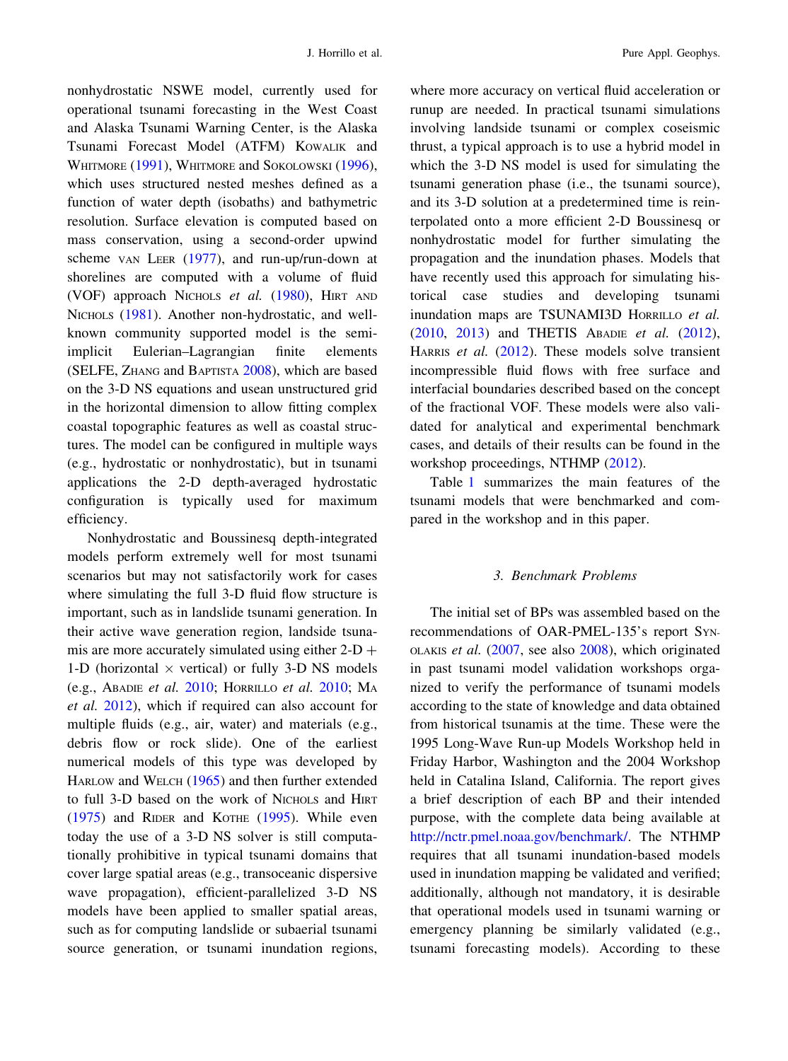nonhydrostatic NSWE model, currently used for operational tsunami forecasting in the West Coast and Alaska Tsunami Warning Center, is the Alaska Tsunami Forecast Model (ATFM) KOWALIK and WHITMORE ([1991\)](#page-15-0), WHITMORE and SOKOLOWSKI [\(1996](#page-15-0)), which uses structured nested meshes defined as a function of water depth (isobaths) and bathymetric resolution. Surface elevation is computed based on mass conservation, using a second-order upwind scheme VAN LEER ([1977\)](#page-15-0), and run-up/run-down at shorelines are computed with a volume of fluid (VOF) approach NICHOLS et al. ([1980\)](#page-15-0), HIRT AND NICHOLS ([1981\)](#page-14-0). Another non-hydrostatic, and wellknown community supported model is the semiimplicit Eulerian–Lagrangian finite elements (SELFE, ZHANG and BAPTISTA [2008\)](#page-15-0), which are based on the 3-D NS equations and usean unstructured grid in the horizontal dimension to allow fitting complex coastal topographic features as well as coastal structures. The model can be configured in multiple ways (e.g., hydrostatic or nonhydrostatic), but in tsunami applications the 2-D depth-averaged hydrostatic configuration is typically used for maximum efficiency.

Nonhydrostatic and Boussinesq depth-integrated models perform extremely well for most tsunami scenarios but may not satisfactorily work for cases where simulating the full 3-D fluid flow structure is important, such as in landslide tsunami generation. In their active wave generation region, landside tsunamis are more accurately simulated using either  $2-D +$ 1-D (horizontal  $\times$  vertical) or fully 3-D NS models (e.g., ABADIE et al. [2010](#page-14-0); HORRILLO et al. [2010;](#page-14-0) MA et al. [2012](#page-15-0)), which if required can also account for multiple fluids (e.g., air, water) and materials (e.g., debris flow or rock slide). One of the earliest numerical models of this type was developed by HARLOW and WELCH [\(1965](#page-14-0)) and then further extended to full 3-D based on the work of NICHOLS and HIRT [\(1975](#page-15-0)) and RIDER and KOTHE ([1995\)](#page-15-0). While even today the use of a 3-D NS solver is still computationally prohibitive in typical tsunami domains that cover large spatial areas (e.g., transoceanic dispersive wave propagation), efficient-parallelized 3-D NS models have been applied to smaller spatial areas, such as for computing landslide or subaerial tsunami source generation, or tsunami inundation regions,

where more accuracy on vertical fluid acceleration or runup are needed. In practical tsunami simulations involving landside tsunami or complex coseismic thrust, a typical approach is to use a hybrid model in which the 3-D NS model is used for simulating the tsunami generation phase (i.e., the tsunami source), and its 3-D solution at a predetermined time is reinterpolated onto a more efficient 2-D Boussinesq or nonhydrostatic model for further simulating the propagation and the inundation phases. Models that have recently used this approach for simulating historical case studies and developing tsunami inundation maps are TSUNAMI3D HORRILLO et al. [\(2010](#page-14-0), [2013\)](#page-14-0) and THETIS ABADIE et al. ([2012](#page-14-0)), HARRIS et al. [\(2012](#page-14-0)). These models solve transient incompressible fluid flows with free surface and interfacial boundaries described based on the concept of the fractional VOF. These models were also validated for analytical and experimental benchmark cases, and details of their results can be found in the workshop proceedings, NTHMP [\(2012](#page-15-0)).

Table [1](#page-4-0) summarizes the main features of the tsunami models that were benchmarked and compared in the workshop and in this paper.

### 3. Benchmark Problems

The initial set of BPs was assembled based on the recommendations of OAR-PMEL-135's report SYN-OLAKIS et al. [\(2007](#page-15-0), see also [2008\)](#page-15-0), which originated in past tsunami model validation workshops organized to verify the performance of tsunami models according to the state of knowledge and data obtained from historical tsunamis at the time. These were the 1995 Long-Wave Run-up Models Workshop held in Friday Harbor, Washington and the 2004 Workshop held in Catalina Island, California. The report gives a brief description of each BP and their intended purpose, with the complete data being available at <http://nctr.pmel.noaa.gov/benchmark/>. The NTHMP requires that all tsunami inundation-based models used in inundation mapping be validated and verified; additionally, although not mandatory, it is desirable that operational models used in tsunami warning or emergency planning be similarly validated (e.g., tsunami forecasting models). According to these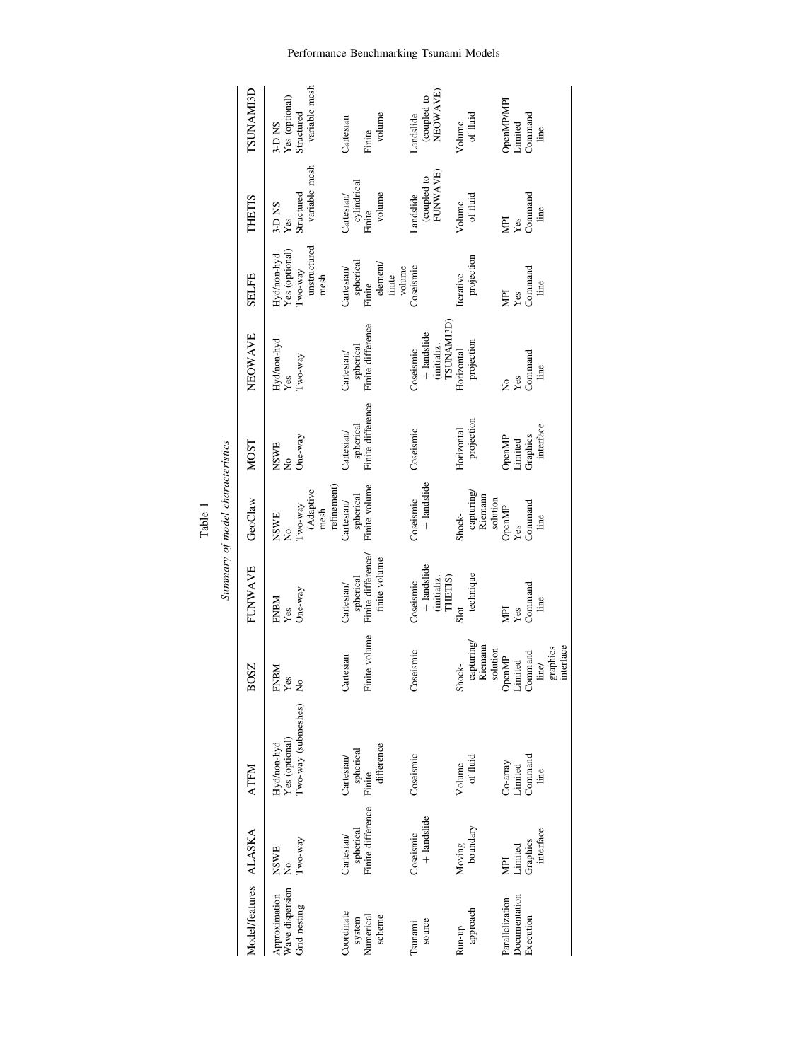|       | characteristics  |
|-------|------------------|
| Table | t model c.       |
|       |                  |
|       | p <i>Comuner</i> |

| <b>Iodel/features</b> ALASKA    |                               | ATFM                                                 | BOSZ              | <b>FUNWAVE</b>                                                             | GeoClaw                                                                                                                   | <b>MOST</b>                                  | NEOWAVE                                      | <b>SELFE</b>                                                                                                                                               | <b>THETIS</b>                                              | <b>TSUNAMI3L</b>                                        |
|---------------------------------|-------------------------------|------------------------------------------------------|-------------------|----------------------------------------------------------------------------|---------------------------------------------------------------------------------------------------------------------------|----------------------------------------------|----------------------------------------------|------------------------------------------------------------------------------------------------------------------------------------------------------------|------------------------------------------------------------|---------------------------------------------------------|
| pproximation<br>wave dispersion | NSWE                          | Hyd/non-hyd<br>Yes (optional)<br>Two-way (submeshes) | <b>NBM</b><br>Yes | FNBM<br>Yes<br>One-way                                                     |                                                                                                                           | NSWE<br>No<br>One-way                        | Hyd/non-hyd<br>Yes<br>Two-way                |                                                                                                                                                            | 3-D NS<br>Yes<br>Structured<br>Structured<br>variable mesh | 3-D NS<br>Yes (optional)<br>Structured<br>variable mes. |
| irid nesting                    | wo-way                        |                                                      | $\frac{1}{2}$     |                                                                            | NSWE<br>No<br>Two-way<br>Two-way<br>(Adaptive<br>meshing<br>expleried<br>spherical<br>spherical<br>spherical<br>spherical |                                              |                                              | $\begin{array}{l}{\rm HydInon-hyd}\\ {\rm Yes~ (optional)}\\ {\rm Two-way}\\ {\rm unstructured}\\ {\rm mostructured}\\ {\rm mesh}\\ {\rm mesh}\end{array}$ |                                                            |                                                         |
| <b>oordinate</b>                | artesian/                     | Cartesian/<br>spherical<br>Finite                    | <b>Jartesian</b>  | Cartesian/<br>spherical<br><sup>c</sup> inite difference/<br>finite volume |                                                                                                                           | Cartesian/<br>spherical<br>Finite difference | Cartesian/<br>spherical<br>Finite difference | Cartesian/<br>spherical<br>Finite<br>element/                                                                                                              | Cartesian/<br>cylindrical<br><sup>7</sup> inite<br>volume  | <b>Cartesian</b>                                        |
| system<br>Jumerical             | spherical<br>inite difference |                                                      | inite volume      |                                                                            |                                                                                                                           |                                              |                                              |                                                                                                                                                            |                                                            | Finite<br>volume                                        |
| scheme                          |                               | difference                                           |                   |                                                                            |                                                                                                                           |                                              |                                              |                                                                                                                                                            |                                                            |                                                         |

Approximation<br>Wave dispersion<br>Grid nesting

Tsunami source Run-up approach

Moving boundary

Execution Graphics

Execution

Documentation Parallelization

MPI<br>Limited<br>Graphics<br>interface

Command  $\begin{array}{lcl} \text{Co-array} \\ \text{Limited} \\ \text{Command} \\ \text{line} \end{array}$ 

Command  $Limited$ <br>Command<br> $line/$ 

OpenMP

Command line

MPI<br>Yes<br>Command

Command line

Yes<br>Command OpenMP

Graphics interface

Command No<br>Yes<br>Command<br>line

Command line

MPI<br>Yes<br>Command

Command line

MPI<br>Yes<br>Command

Command line

OpenMP/MPI Limited<br>Command

graphics interface

Volume of fluid

Shockcapturing/ Riemann solution

Slot technique

Shockcapturing/ Riemann solution Parallelization MPI Co-array OpenMP MPI OpenMP OpenMP No MPI MPI OpenMP/MPI Documentation Limited Limited Limited Yes Yes Nes Yes Yes Yes Yes Yes Yes Ness

Horizontal projection

Horizontal

Horizontal projection

TSUNAMI3D)<br>Horizontal

Iterative projection

Volume of fluid

Volume of fluid

Coseismic  $\frac{1}{1}$  Coseismic landslide

Coseismic

Coseismic Coseismic Coseismic

Coseismic

+ landsl<br>(initializ. landslide THETIS)

Coseismic  $\begin{array}{ll} \textrm{Cosesimic} \\ + \textrm{ landslide} \end{array}$ landslide

Coseismic Coseismic

Coseismic

?(initializ. landslide TSUNAMI3D)

3-D NS<br>Yes (optional)<br>Structured<br>variable mesh

<span id="page-4-0"></span>TSUNAMI3D

| Performance Benchmarking Tsunami Models |  |  |  |  |  |
|-----------------------------------------|--|--|--|--|--|
|-----------------------------------------|--|--|--|--|--|

finite volume

Coseismic Landslide

Landslide (coupled to NEOWAVE)

Landslide<br>(coupled to<br>NEOWAVE)

(coupled to FUNWAVE)

 $\begin{array}{ll} \text{Landslide} \\ \text{(coupled to} \\ \text{FUNWAVE)} \end{array}$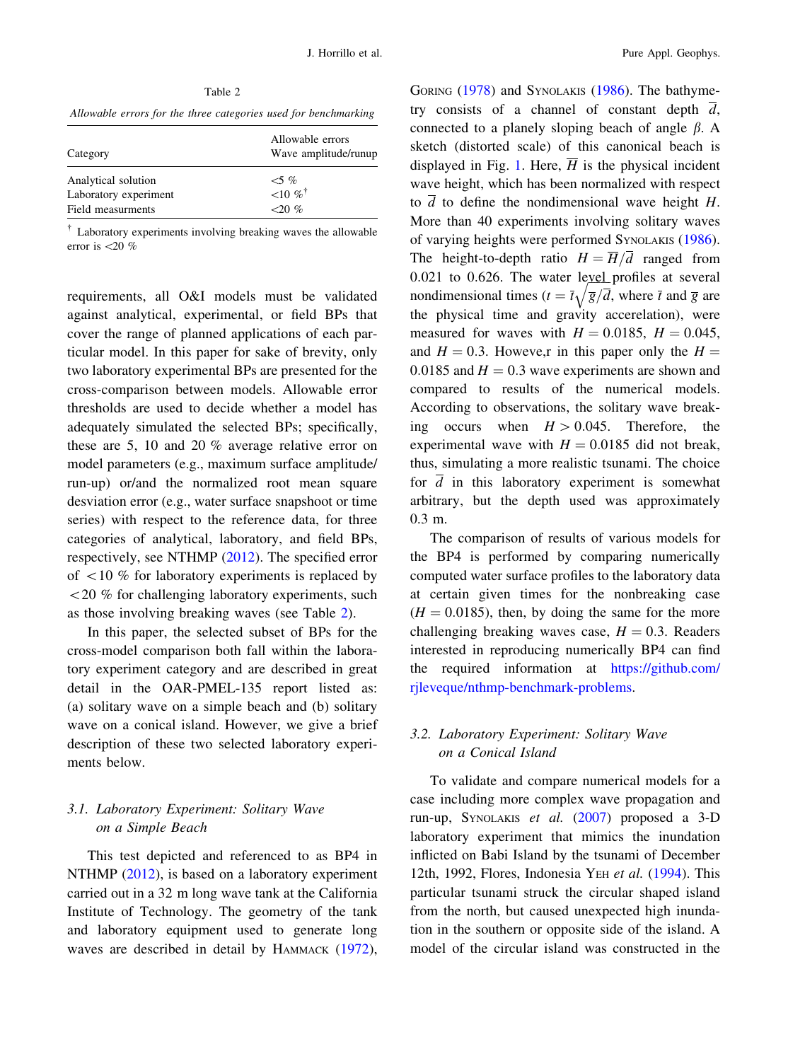Allowable errors for the three categories used for benchmarking

| Category              | Allowable errors<br>Wave amplitude/runup |
|-----------------------|------------------------------------------|
| Analytical solution   | $<$ 5 %                                  |
| Laboratory experiment | ${10 \; \%}$                             |
| Field measurments     | $20\%$                                   |

- Laboratory experiments involving breaking waves the allowable error is\20 %

requirements, all O&I models must be validated against analytical, experimental, or field BPs that cover the range of planned applications of each particular model. In this paper for sake of brevity, only two laboratory experimental BPs are presented for the cross-comparison between models. Allowable error thresholds are used to decide whether a model has adequately simulated the selected BPs; specifically, these are 5, 10 and 20 % average relative error on model parameters (e.g., maximum surface amplitude/ run-up) or/and the normalized root mean square desviation error (e.g., water surface snapshoot or time series) with respect to the reference data, for three categories of analytical, laboratory, and field BPs, respectively, see NTHMP [\(2012](#page-15-0)). The specified error of  $\langle 10 \, \%$  for laboratory experiments is replaced by $<$  20 % for challenging laboratory experiments, such as those involving breaking waves (see Table 2).

In this paper, the selected subset of BPs for the cross-model comparison both fall within the laboratory experiment category and are described in great detail in the OAR-PMEL-135 report listed as: (a) solitary wave on a simple beach and (b) solitary wave on a conical island. However, we give a brief description of these two selected laboratory experiments below.

## 3.1. Laboratory Experiment: Solitary Wave on a Simple Beach

This test depicted and referenced to as BP4 in NTHMP ([2012\)](#page-15-0), is based on a laboratory experiment carried out in a 32 m long wave tank at the California Institute of Technology. The geometry of the tank and laboratory equipment used to generate long waves are described in detail by HAMMACK [\(1972](#page-14-0)), GORING [\(1978\)](#page-14-0) and SYNOLAKIS ([1986\)](#page-15-0). The bathymetry consists of a channel of constant depth  $\overline{d}$ , connected to a planely sloping beach of angle  $\beta$ . A sketch (distorted scale) of this canonical beach is displayed in Fig. [1](#page-6-0). Here,  $\overline{H}$  is the physical incident wave height, which has been normalized with respect to  $\overline{d}$  to define the nondimensional wave height H. More than 40 experiments involving solitary waves of varying heights were performed SYNOLAKIS ([1986](#page-15-0)). The height-to-depth ratio  $H = \overline{H}/\overline{d}$  ranged from 0.021 to 0.626. The water level profiles at several nondimensional times ( $t = \overline{t}\sqrt{\overline{g}}/d$ , where  $\overline{t}$  and  $\overline{g}$  are the physical time and gravity accerelation), were measured for waves with  $H = 0.0185$ ,  $H = 0.045$ , and  $H = 0.3$ . Howeve, r in this paper only the  $H =$ 0.0185 and  $H = 0.3$  wave experiments are shown and compared to results of the numerical models. According to observations, the solitary wave breaking occurs when  $H > 0.045$ . Therefore, the experimental wave with  $H = 0.0185$  did not break, thus, simulating a more realistic tsunami. The choice for  $\overline{d}$  in this laboratory experiment is somewhat arbitrary, but the depth used was approximately 0.3 m.

The comparison of results of various models for the BP4 is performed by comparing numerically computed water surface profiles to the laboratory data at certain given times for the nonbreaking case  $(H = 0.0185)$ , then, by doing the same for the more challenging breaking waves case,  $H = 0.3$ . Readers interested in reproducing numerically BP4 can find the required information at [https://github.com/](https://github.com/rjleveque/nthmp-benchmark-problems) [rjleveque/nthmp-benchmark-problems.](https://github.com/rjleveque/nthmp-benchmark-problems)

# 3.2. Laboratory Experiment: Solitary Wave on a Conical Island

To validate and compare numerical models for a case including more complex wave propagation and run-up, SYNOLAKIS et al. [\(2007](#page-15-0)) proposed a 3-D laboratory experiment that mimics the inundation inflicted on Babi Island by the tsunami of December 12th, 1992, Flores, Indonesia YEH et al.  $(1994)$  $(1994)$ . This particular tsunami struck the circular shaped island from the north, but caused unexpected high inundation in the southern or opposite side of the island. A model of the circular island was constructed in the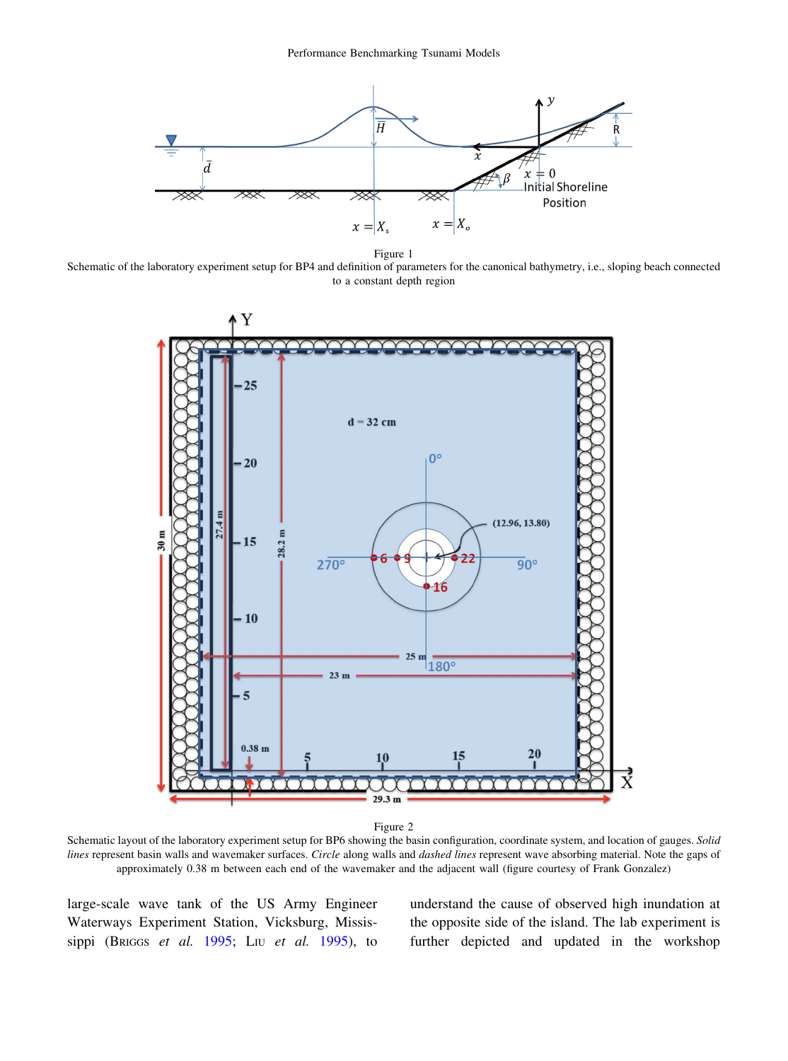<span id="page-6-0"></span>

Figure 1

Schematic of the laboratory experiment setup for BP4 and definition of parameters for the canonical bathymetry, i.e., sloping beach connected to a constant depth region



Figure 2

Schematic layout of the laboratory experiment setup for BP6 showing the basin configuration, coordinate system, and location of gauges. Solid lines represent basin walls and wavemaker surfaces. Circle along walls and dashed lines represent wave absorbing material. Note the gaps of approximately 0.38 m between each end of the wavemaker and the adjacent wall (figure courtesy of Frank Gonzalez)

large-scale wave tank of the US Army Engineer Waterways Experiment Station, Vicksburg, Mississippi (BRIGGS *et al.* [1995](#page-14-0); LIU *et al.* [1995\)](#page-15-0), to understand the cause of observed high inundation at the opposite side of the island. The lab experiment is further depicted and updated in the workshop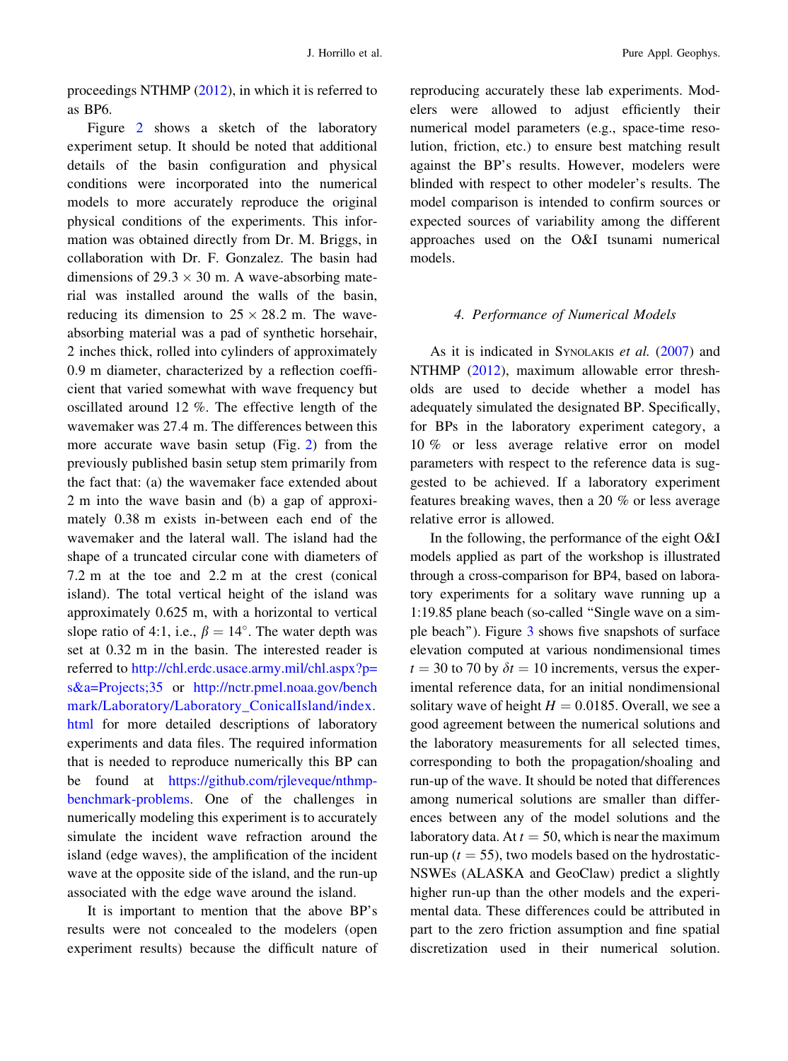proceedings NTHMP [\(2012](#page-15-0)), in which it is referred to as BP6.

Figure [2](#page-6-0) shows a sketch of the laboratory experiment setup. It should be noted that additional details of the basin configuration and physical conditions were incorporated into the numerical models to more accurately reproduce the original physical conditions of the experiments. This information was obtained directly from Dr. M. Briggs, in collaboration with Dr. F. Gonzalez. The basin had dimensions of  $29.3 \times 30$  m. A wave-absorbing material was installed around the walls of the basin, reducing its dimension to  $25 \times 28.2$  m. The waveabsorbing material was a pad of synthetic horsehair, 2 inches thick, rolled into cylinders of approximately 0:9 m diameter, characterized by a reflection coefficient that varied somewhat with wave frequency but oscillated around 12 %. The effective length of the wavemaker was 27.4 m. The differences between this more accurate wave basin setup (Fig. [2](#page-6-0)) from the previously published basin setup stem primarily from the fact that: (a) the wavemaker face extended about 2 m into the wave basin and (b) a gap of approximately 0.38 m exists in-between each end of the wavemaker and the lateral wall. The island had the shape of a truncated circular cone with diameters of 7.2 m at the toe and 2.2 m at the crest (conical island). The total vertical height of the island was approximately 0.625 m, with a horizontal to vertical slope ratio of 4:1, i.e.,  $\beta = 14^{\circ}$ . The water depth was set at 0.32 m in the basin. The interested reader is referred to [http://chl.erdc.usace.army.mil/chl.aspx?p=](http://chl.erdc.usace.army.mil/chl.aspx?p=s&a=Projects;35) [s&a=Projects;35](http://chl.erdc.usace.army.mil/chl.aspx?p=s&a=Projects;35) or [http://nctr.pmel.noaa.gov/bench](http://nctr.pmel.noaa.gov/benchmark/Laboratory/Laboratory_ConicalIsland/index.html) [mark/Laboratory/Laboratory\\_ConicalIsland/index.](http://nctr.pmel.noaa.gov/benchmark/Laboratory/Laboratory_ConicalIsland/index.html) [html](http://nctr.pmel.noaa.gov/benchmark/Laboratory/Laboratory_ConicalIsland/index.html) for more detailed descriptions of laboratory experiments and data files. The required information that is needed to reproduce numerically this BP can be found at [https://github.com/rjleveque/nthmp](https://github.com/rjleveque/nthmp-benchmark-problems)[benchmark-problems.](https://github.com/rjleveque/nthmp-benchmark-problems) One of the challenges in numerically modeling this experiment is to accurately simulate the incident wave refraction around the island (edge waves), the amplification of the incident wave at the opposite side of the island, and the run-up associated with the edge wave around the island.

It is important to mention that the above BP's results were not concealed to the modelers (open experiment results) because the difficult nature of reproducing accurately these lab experiments. Modelers were allowed to adjust efficiently their numerical model parameters (e.g., space-time resolution, friction, etc.) to ensure best matching result against the BP's results. However, modelers were blinded with respect to other modeler's results. The model comparison is intended to confirm sources or expected sources of variability among the different approaches used on the O&I tsunami numerical models.

## 4. Performance of Numerical Models

As it is indicated in SYNOLAKIS et al. ([2007\)](#page-15-0) and NTHMP ([2012\)](#page-15-0), maximum allowable error thresholds are used to decide whether a model has adequately simulated the designated BP. Specifically, for BPs in the laboratory experiment category, a 10 % or less average relative error on model parameters with respect to the reference data is suggested to be achieved. If a laboratory experiment features breaking waves, then a 20 % or less average relative error is allowed.

In the following, the performance of the eight O&I models applied as part of the workshop is illustrated through a cross-comparison for BP4, based on laboratory experiments for a solitary wave running up a 1:19.85 plane beach (so-called ''Single wave on a simple beach''). Figure [3](#page-8-0) shows five snapshots of surface elevation computed at various nondimensional times  $t = 30$  to 70 by  $\delta t = 10$  increments, versus the experimental reference data, for an initial nondimensional solitary wave of height  $H = 0.0185$ . Overall, we see a good agreement between the numerical solutions and the laboratory measurements for all selected times, corresponding to both the propagation/shoaling and run-up of the wave. It should be noted that differences among numerical solutions are smaller than differences between any of the model solutions and the laboratory data. At  $t = 50$ , which is near the maximum run-up ( $t = 55$ ), two models based on the hydrostatic-NSWEs (ALASKA and GeoClaw) predict a slightly higher run-up than the other models and the experimental data. These differences could be attributed in part to the zero friction assumption and fine spatial discretization used in their numerical solution.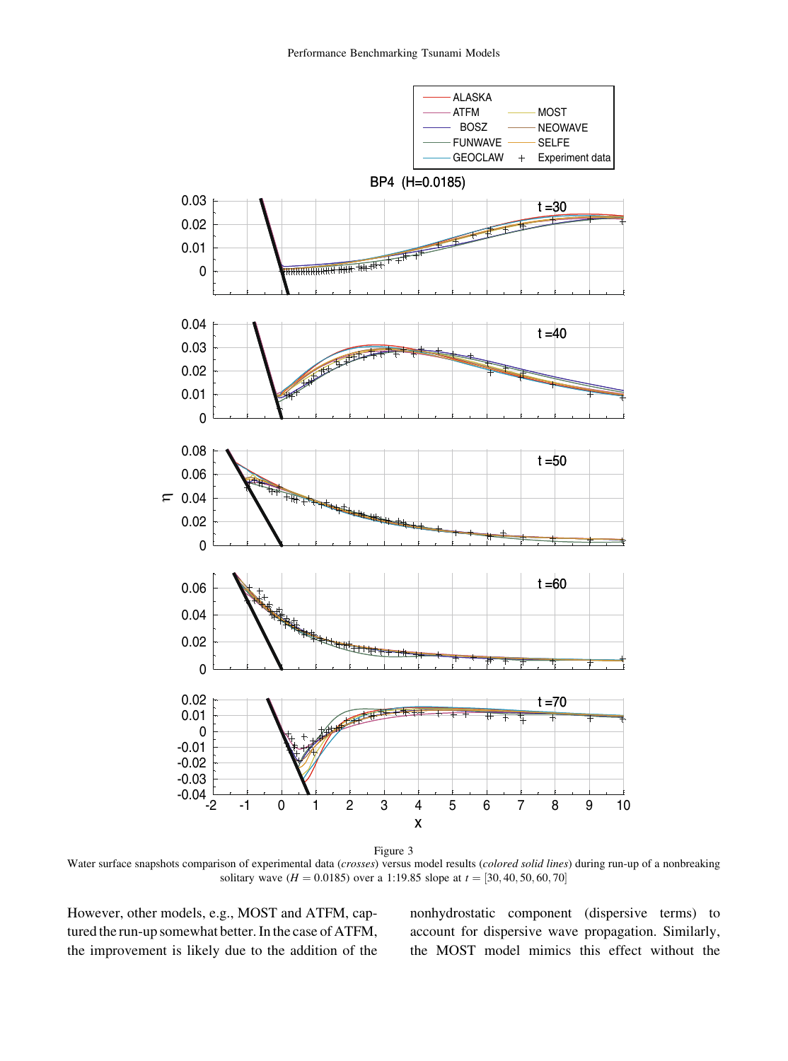<span id="page-8-0"></span>

Water surface snapshots comparison of experimental data (crosses) versus model results (colored solid lines) during run-up of a nonbreaking solitary wave ( $H = 0.0185$ ) over a 1:19.85 slope at  $t = [30, 40, 50, 60, 70]$ 

However, other models, e.g., MOST and ATFM, captured the run-up somewhat better. In the case of ATFM, the improvement is likely due to the addition of the nonhydrostatic component (dispersive terms) to account for dispersive wave propagation. Similarly, the MOST model mimics this effect without the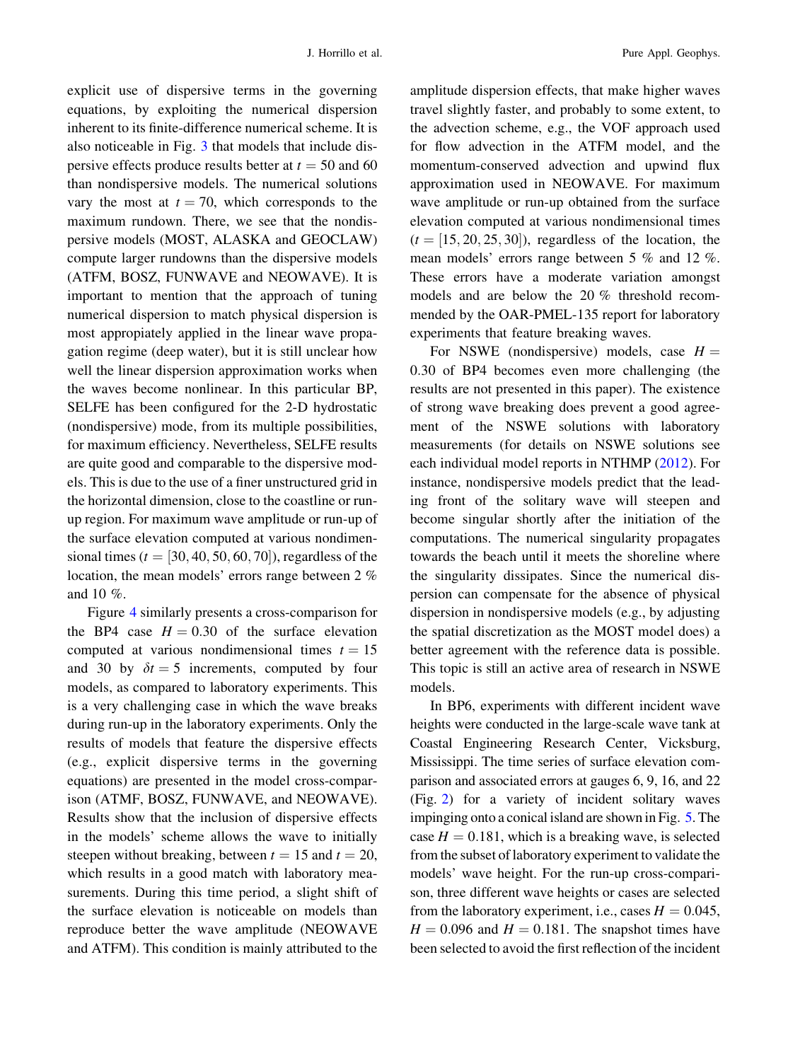explicit use of dispersive terms in the governing equations, by exploiting the numerical dispersion inherent to its finite-difference numerical scheme. It is also noticeable in Fig. [3](#page-8-0) that models that include dispersive effects produce results better at  $t = 50$  and 60 than nondispersive models. The numerical solutions vary the most at  $t = 70$ , which corresponds to the maximum rundown. There, we see that the nondispersive models (MOST, ALASKA and GEOCLAW) compute larger rundowns than the dispersive models (ATFM, BOSZ, FUNWAVE and NEOWAVE). It is important to mention that the approach of tuning numerical dispersion to match physical dispersion is most appropiately applied in the linear wave propagation regime (deep water), but it is still unclear how well the linear dispersion approximation works when the waves become nonlinear. In this particular BP, SELFE has been configured for the 2-D hydrostatic (nondispersive) mode, from its multiple possibilities, for maximum efficiency. Nevertheless, SELFE results are quite good and comparable to the dispersive models. This is due to the use of a finer unstructured grid in the horizontal dimension, close to the coastline or runup region. For maximum wave amplitude or run-up of the surface elevation computed at various nondimensional times ( $t = [30, 40, 50, 60, 70]$ ), regardless of the location, the mean models' errors range between 2 % and 10 %.

Figure [4](#page-10-0) similarly presents a cross-comparison for the BP4 case  $H = 0.30$  of the surface elevation computed at various nondimensional times  $t = 15$ and 30 by  $\delta t = 5$  increments, computed by four models, as compared to laboratory experiments. This is a very challenging case in which the wave breaks during run-up in the laboratory experiments. Only the results of models that feature the dispersive effects (e.g., explicit dispersive terms in the governing equations) are presented in the model cross-comparison (ATMF, BOSZ, FUNWAVE, and NEOWAVE). Results show that the inclusion of dispersive effects in the models' scheme allows the wave to initially steepen without breaking, between  $t = 15$  and  $t = 20$ , which results in a good match with laboratory measurements. During this time period, a slight shift of the surface elevation is noticeable on models than reproduce better the wave amplitude (NEOWAVE and ATFM). This condition is mainly attributed to the

amplitude dispersion effects, that make higher waves travel slightly faster, and probably to some extent, to the advection scheme, e.g., the VOF approach used for flow advection in the ATFM model, and the momentum-conserved advection and upwind flux approximation used in NEOWAVE. For maximum wave amplitude or run-up obtained from the surface elevation computed at various nondimensional times  $(t = [15, 20, 25, 30])$ , regardless of the location, the mean models' errors range between 5 % and 12 %. These errors have a moderate variation amongst models and are below the 20 % threshold recommended by the OAR-PMEL-135 report for laboratory experiments that feature breaking waves.

For NSWE (nondispersive) models, case  $H =$ 0:30 of BP4 becomes even more challenging (the results are not presented in this paper). The existence of strong wave breaking does prevent a good agreement of the NSWE solutions with laboratory measurements (for details on NSWE solutions see each individual model reports in NTHMP [\(2012](#page-15-0)). For instance, nondispersive models predict that the leading front of the solitary wave will steepen and become singular shortly after the initiation of the computations. The numerical singularity propagates towards the beach until it meets the shoreline where the singularity dissipates. Since the numerical dispersion can compensate for the absence of physical dispersion in nondispersive models (e.g., by adjusting the spatial discretization as the MOST model does) a better agreement with the reference data is possible. This topic is still an active area of research in NSWE models.

In BP6, experiments with different incident wave heights were conducted in the large-scale wave tank at Coastal Engineering Research Center, Vicksburg, Mississippi. The time series of surface elevation comparison and associated errors at gauges 6, 9, 16, and 22 (Fig. [2\)](#page-6-0) for a variety of incident solitary waves impinging onto a conical island are shown in Fig. [5.](#page-11-0) The case  $H = 0.181$ , which is a breaking wave, is selected from the subset of laboratory experiment to validate the models' wave height. For the run-up cross-comparison, three different wave heights or cases are selected from the laboratory experiment, i.e., cases  $H = 0.045$ ,  $H = 0.096$  and  $H = 0.181$ . The snapshot times have been selected to avoid the first reflection of the incident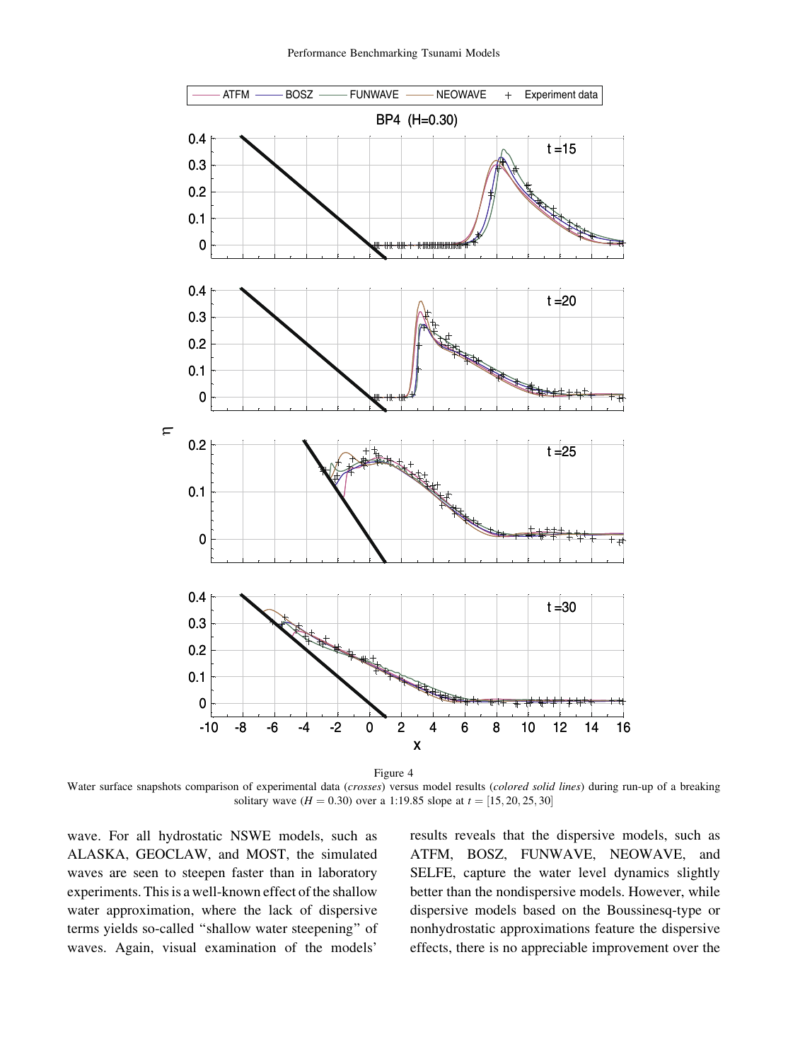<span id="page-10-0"></span>

Water surface snapshots comparison of experimental data (crosses) versus model results (colored solid lines) during run-up of a breaking solitary wave  $(H = 0.30)$  over a 1:19.85 slope at  $t = [15, 20, 25, 30]$ 

wave. For all hydrostatic NSWE models, such as ALASKA, GEOCLAW, and MOST, the simulated waves are seen to steepen faster than in laboratory experiments. This is a well-known effect of the shallow water approximation, where the lack of dispersive terms yields so-called ''shallow water steepening'' of waves. Again, visual examination of the models'

results reveals that the dispersive models, such as ATFM, BOSZ, FUNWAVE, NEOWAVE, and SELFE, capture the water level dynamics slightly better than the nondispersive models. However, while dispersive models based on the Boussinesq-type or nonhydrostatic approximations feature the dispersive effects, there is no appreciable improvement over the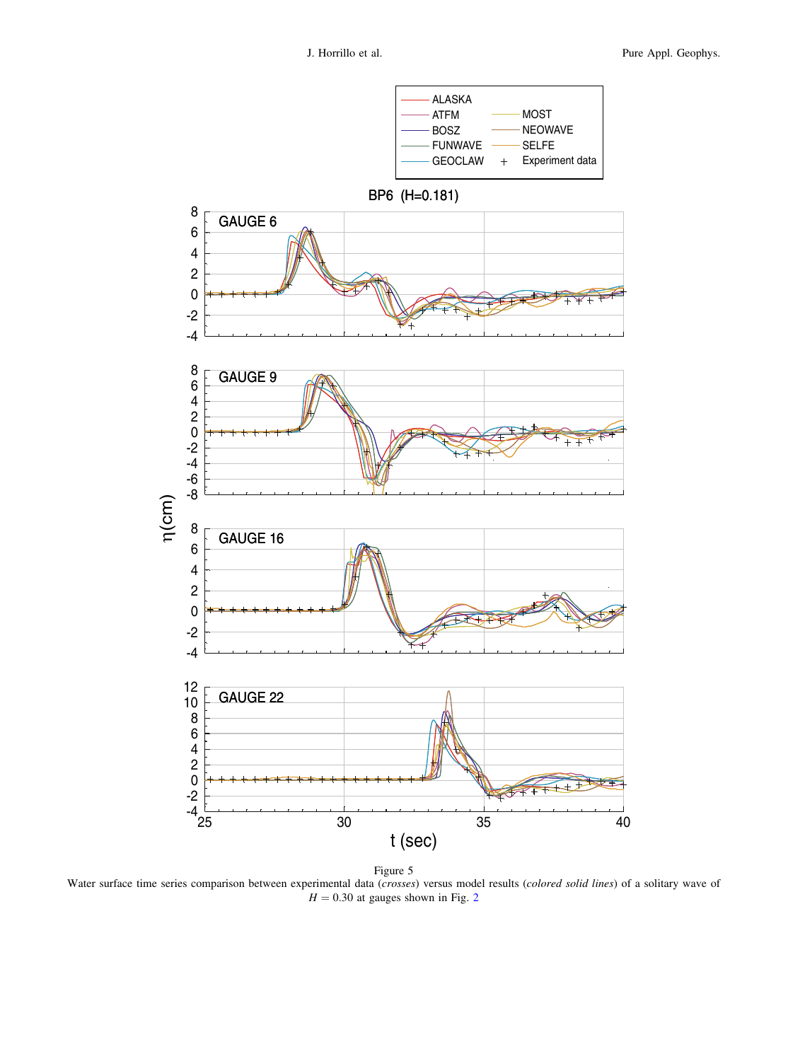<span id="page-11-0"></span>

Figure 5

Water surface time series comparison between experimental data (crosses) versus model results (colored solid lines) of a solitary wave of  $H = 0.30$  at gauges shown in Fig. [2](#page-6-0)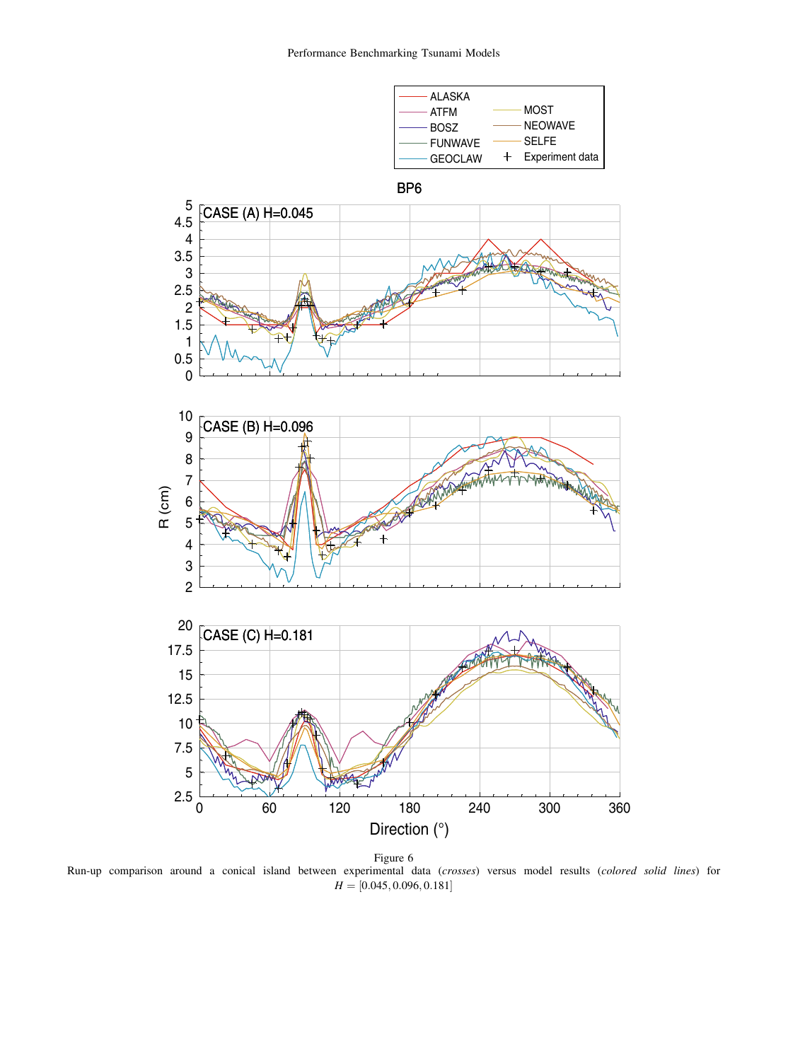<span id="page-12-0"></span>

Figure 6 Run-up comparison around a conical island between experimental data (crosses) versus model results (colored solid lines) for  $H = [0.045, 0.096, 0.181]$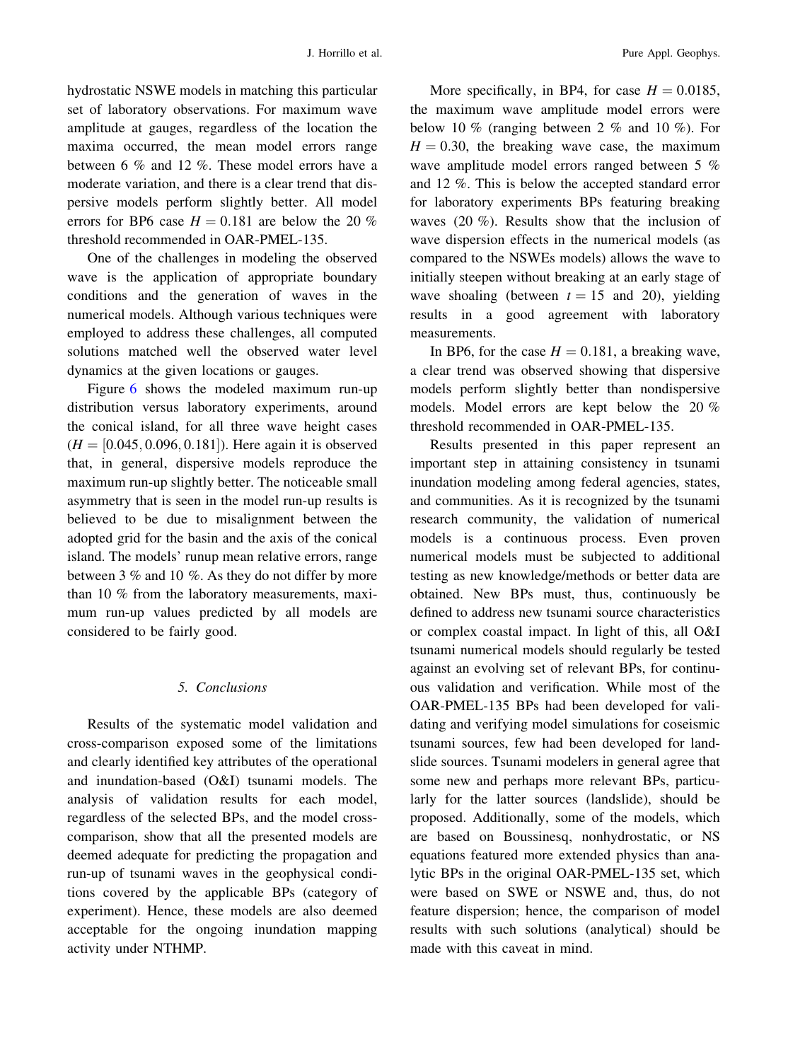hydrostatic NSWE models in matching this particular set of laboratory observations. For maximum wave amplitude at gauges, regardless of the location the maxima occurred, the mean model errors range between 6 % and 12 %. These model errors have a moderate variation, and there is a clear trend that dispersive models perform slightly better. All model errors for BP6 case  $H = 0.181$  are below the 20 % threshold recommended in OAR-PMEL-135.

One of the challenges in modeling the observed wave is the application of appropriate boundary conditions and the generation of waves in the numerical models. Although various techniques were employed to address these challenges, all computed solutions matched well the observed water level dynamics at the given locations or gauges.

Figure [6](#page-12-0) shows the modeled maximum run-up distribution versus laboratory experiments, around the conical island, for all three wave height cases  $(H = [0.045, 0.096, 0.181])$ . Here again it is observed that, in general, dispersive models reproduce the maximum run-up slightly better. The noticeable small asymmetry that is seen in the model run-up results is believed to be due to misalignment between the adopted grid for the basin and the axis of the conical island. The models' runup mean relative errors, range between 3 % and 10 %. As they do not differ by more than 10 % from the laboratory measurements, maximum run-up values predicted by all models are considered to be fairly good.

## 5. Conclusions

Results of the systematic model validation and cross-comparison exposed some of the limitations and clearly identified key attributes of the operational and inundation-based (O&I) tsunami models. The analysis of validation results for each model, regardless of the selected BPs, and the model crosscomparison, show that all the presented models are deemed adequate for predicting the propagation and run-up of tsunami waves in the geophysical conditions covered by the applicable BPs (category of experiment). Hence, these models are also deemed acceptable for the ongoing inundation mapping activity under NTHMP.

More specifically, in BP4, for case  $H = 0.0185$ , the maximum wave amplitude model errors were below 10 % (ranging between 2 % and 10 %). For  $H = 0.30$ , the breaking wave case, the maximum wave amplitude model errors ranged between 5 % and 12 %. This is below the accepted standard error for laboratory experiments BPs featuring breaking waves (20 %). Results show that the inclusion of wave dispersion effects in the numerical models (as compared to the NSWEs models) allows the wave to initially steepen without breaking at an early stage of wave shoaling (between  $t = 15$  and 20), yielding results in a good agreement with laboratory measurements.

In BP6, for the case  $H = 0.181$ , a breaking wave, a clear trend was observed showing that dispersive models perform slightly better than nondispersive models. Model errors are kept below the 20 % threshold recommended in OAR-PMEL-135.

Results presented in this paper represent an important step in attaining consistency in tsunami inundation modeling among federal agencies, states, and communities. As it is recognized by the tsunami research community, the validation of numerical models is a continuous process. Even proven numerical models must be subjected to additional testing as new knowledge/methods or better data are obtained. New BPs must, thus, continuously be defined to address new tsunami source characteristics or complex coastal impact. In light of this, all O&I tsunami numerical models should regularly be tested against an evolving set of relevant BPs, for continuous validation and verification. While most of the OAR-PMEL-135 BPs had been developed for validating and verifying model simulations for coseismic tsunami sources, few had been developed for landslide sources. Tsunami modelers in general agree that some new and perhaps more relevant BPs, particularly for the latter sources (landslide), should be proposed. Additionally, some of the models, which are based on Boussinesq, nonhydrostatic, or NS equations featured more extended physics than analytic BPs in the original OAR-PMEL-135 set, which were based on SWE or NSWE and, thus, do not feature dispersion; hence, the comparison of model results with such solutions (analytical) should be made with this caveat in mind.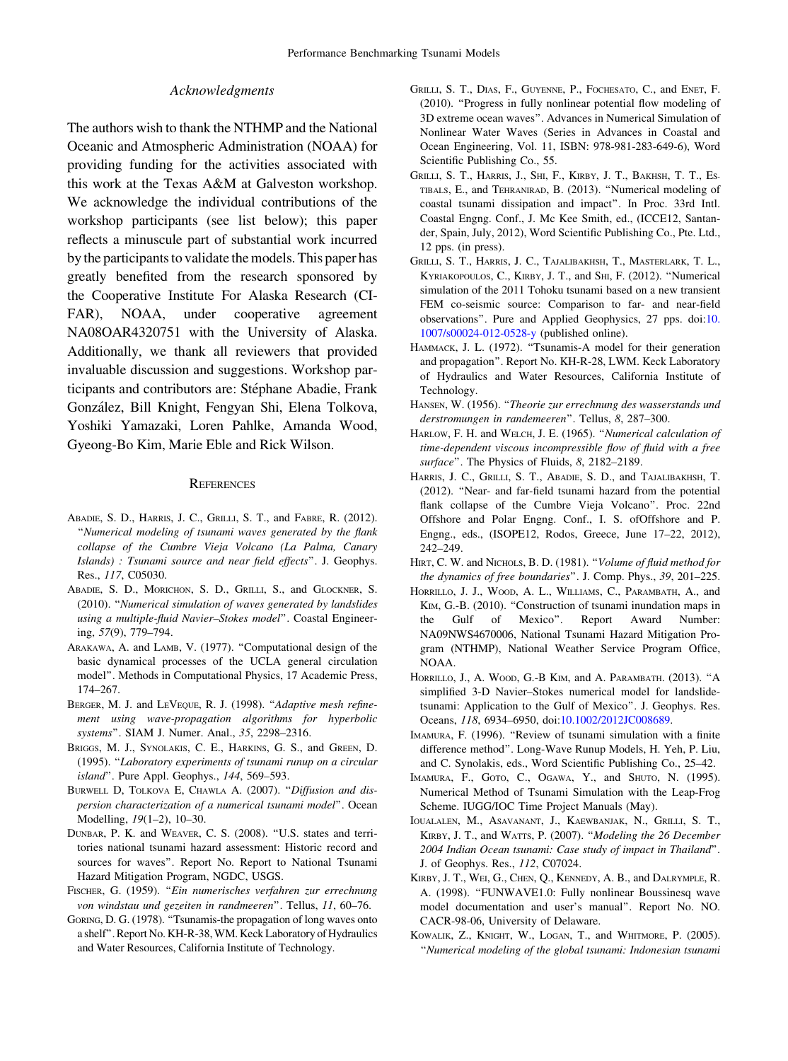#### Acknowledgments

<span id="page-14-0"></span>The authors wish to thank the NTHMP and the National Oceanic and Atmospheric Administration (NOAA) for providing funding for the activities associated with this work at the Texas A&M at Galveston workshop. We acknowledge the individual contributions of the workshop participants (see list below); this paper reflects a minuscule part of substantial work incurred by the participants to validate the models. This paper has greatly benefited from the research sponsored by the Cooperative Institute For Alaska Research (CI-FAR), NOAA, under cooperative agreement NA08OAR4320751 with the University of Alaska. Additionally, we thank all reviewers that provided invaluable discussion and suggestions. Workshop participants and contributors are: Stéphane Abadie, Frank González, Bill Knight, Fengyan Shi, Elena Tolkova, Yoshiki Yamazaki, Loren Pahlke, Amanda Wood, Gyeong-Bo Kim, Marie Eble and Rick Wilson.

### **REFERENCES**

- ABADIE, S. D., HARRIS, J. C., GRILLI, S. T., and FABRE, R. (2012). ''Numerical modeling of tsunami waves generated by the flank collapse of the Cumbre Vieja Volcano (La Palma, Canary Islands) : Tsunami source and near field effects''. J. Geophys. Res., 117, C05030.
- ABADIE, S. D., MORICHON, S. D., GRILLI, S., and GLOCKNER, S. (2010). ''Numerical simulation of waves generated by landslides using a multiple-fluid Navier–Stokes model''. Coastal Engineering, 57(9), 779–794.
- ARAKAWA, A. and LAMB, V. (1977). ''Computational design of the basic dynamical processes of the UCLA general circulation model''. Methods in Computational Physics, 17 Academic Press, 174–267.
- BERGER, M. J. and LEVEQUE, R. J. (1998). "Adaptive mesh refinement using wave-propagation algorithms for hyperbolic systems''. SIAM J. Numer. Anal., 35, 2298–2316.
- BRIGGS, M. J., SYNOLAKIS, C. E., HARKINS, G. S., and GREEN, D. (1995). ''Laboratory experiments of tsunami runup on a circular island''. Pure Appl. Geophys., 144, 569–593.
- BURWELL D, TOLKOVA E, CHAWLA A. (2007). "Diffusion and dispersion characterization of a numerical tsunami model''. Ocean Modelling, 19(1–2), 10–30.
- DUNBAR, P. K. and WEAVER, C. S. (2008). ''U.S. states and territories national tsunami hazard assessment: Historic record and sources for waves''. Report No. Report to National Tsunami Hazard Mitigation Program, NGDC, USGS.
- FISCHER, G. (1959). "Ein numerisches verfahren zur errechnung von windstau und gezeiten in randmeeren''. Tellus, 11, 60–76.
- GORING, D. G. (1978). ''Tsunamis-the propagation of long waves onto a shelf''. Report No. KH-R-38, WM. Keck Laboratory of Hydraulics and Water Resources, California Institute of Technology.
- GRILLI, S. T., DIAS, F., GUYENNE, P., FOCHESATO, C., and ENET, F. (2010). ''Progress in fully nonlinear potential flow modeling of 3D extreme ocean waves''. Advances in Numerical Simulation of Nonlinear Water Waves (Series in Advances in Coastal and Ocean Engineering, Vol. 11, ISBN: 978-981-283-649-6), Word Scientific Publishing Co., 55.
- GRILLI, S. T., HARRIS, J., SHI, F., KIRBY, J. T., BAKHSH, T. T., ES-TIBALS, E., and TEHRANIRAD, B. (2013). ''Numerical modeling of coastal tsunami dissipation and impact''. In Proc. 33rd Intl. Coastal Engng. Conf., J. Mc Kee Smith, ed., (ICCE12, Santander, Spain, July, 2012), Word Scientific Publishing Co., Pte. Ltd., 12 pps. (in press).
- GRILLI, S. T., HARRIS, J. C., TAJALIBAKHSH, T., MASTERLARK, T. L., KYRIAKOPOULOS, C., KIRBY, J. T., and SHI, F. (2012). ''Numerical simulation of the 2011 Tohoku tsunami based on a new transient FEM co-seismic source: Comparison to far- and near-field observations''. Pure and Applied Geophysics, 27 pps. doi[:10.](http://dx.doi.org/10.1007/s00024-012-0528-y) [1007/s00024-012-0528-y](http://dx.doi.org/10.1007/s00024-012-0528-y) (published online).
- HAMMACK, J. L. (1972). "Tsunamis-A model for their generation and propagation''. Report No. KH-R-28, LWM. Keck Laboratory of Hydraulics and Water Resources, California Institute of Technology.
- HANSEN, W. (1956). ''Theorie zur errechnung des wasserstands und derstromungen in randemeeren''. Tellus, 8, 287–300.
- HARLOW, F. H. and WELCH, J. E. (1965). "Numerical calculation of time-dependent viscous incompressible flow of fluid with a free surface''. The Physics of Fluids, 8, 2182–2189.
- HARRIS, J. C., GRILLI, S. T., ABADIE, S. D., and TAJALIBAKHSH, T. (2012). ''Near- and far-field tsunami hazard from the potential flank collapse of the Cumbre Vieja Volcano''. Proc. 22nd Offshore and Polar Engng. Conf., I. S. ofOffshore and P. Engng., eds., (ISOPE12, Rodos, Greece, June 17–22, 2012), 242–249.
- HIRT, C. W. and NICHOLS, B. D. (1981). "Volume of fluid method for the dynamics of free boundaries''. J. Comp. Phys., 39, 201–225.
- HORRILLO, J. J., WOOD, A. L., WILLIAMS, C., PARAMBATH, A., and KIM, G.-B. (2010). "Construction of tsunami inundation maps in the Gulf of Mexico''. Report Award Number: NA09NWS4670006, National Tsunami Hazard Mitigation Program (NTHMP), National Weather Service Program Office, NOAA.
- HORRILLO, J., A. WOOD, G.-B KIM, and A. PARAMBATH. (2013). ''A simplified 3-D Navier–Stokes numerical model for landslidetsunami: Application to the Gulf of Mexico''. J. Geophys. Res. Oceans, 118, 6934–6950, doi[:10.1002/2012JC008689](http://dx.doi.org/10.1002/2012JC008689).
- IMAMURA, F. (1996). ''Review of tsunami simulation with a finite difference method''. Long-Wave Runup Models, H. Yeh, P. Liu, and C. Synolakis, eds., Word Scientific Publishing Co., 25–42.
- IMAMURA, F., GOTO, C., OGAWA, Y., and SHUTO, N. (1995). Numerical Method of Tsunami Simulation with the Leap-Frog Scheme. IUGG/IOC Time Project Manuals (May).
- IOUALALEN, M., ASAVANANT, J., KAEWBANJAK, N., GRILLI, S. T., KIRBY, J. T., and WATTS, P. (2007). ''Modeling the 26 December 2004 Indian Ocean tsunami: Case study of impact in Thailand''. J. of Geophys. Res., 112, C07024.
- KIRBY, J. T., WEI, G., CHEN, Q., KENNEDY, A. B., and DALRYMPLE, R. A. (1998). "FUNWAVE1.0: Fully nonlinear Boussinesq wave model documentation and user's manual''. Report No. NO. CACR-98-06, University of Delaware.
- KOWALIK, Z., KNIGHT, W., LOGAN, T., and WHITMORE, P. (2005). ''Numerical modeling of the global tsunami: Indonesian tsunami